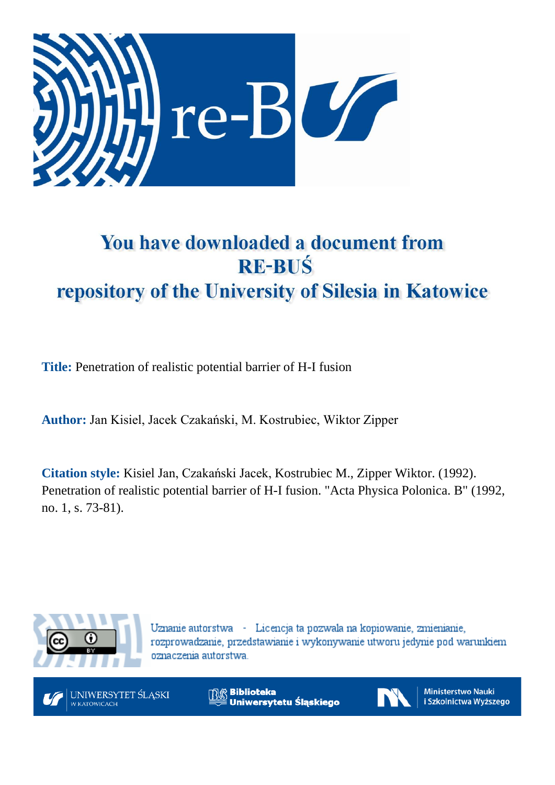

# You have downloaded a document from **RE-BUŚ** repository of the University of Silesia in Katowice

**Title:** Penetration of realistic potential barrier of H-I fusion

**Author:** Jan Kisiel, Jacek Czakański, M. Kostrubiec, Wiktor Zipper

**Citation style:** Kisiel Jan, Czakański Jacek, Kostrubiec M., Zipper Wiktor. (1992). Penetration of realistic potential barrier of H-I fusion. "Acta Physica Polonica. B" (1992, no. 1, s. 73-81).



Uznanie autorstwa - Licencja ta pozwala na kopiowanie, zmienianie, rozprowadzanie, przedstawianie i wykonywanie utworu jedynie pod warunkiem oznaczenia autorstwa.



**Biblioteka** Uniwersytetu Śląskiego



**Ministerstwo Nauki** i Szkolnictwa Wyższego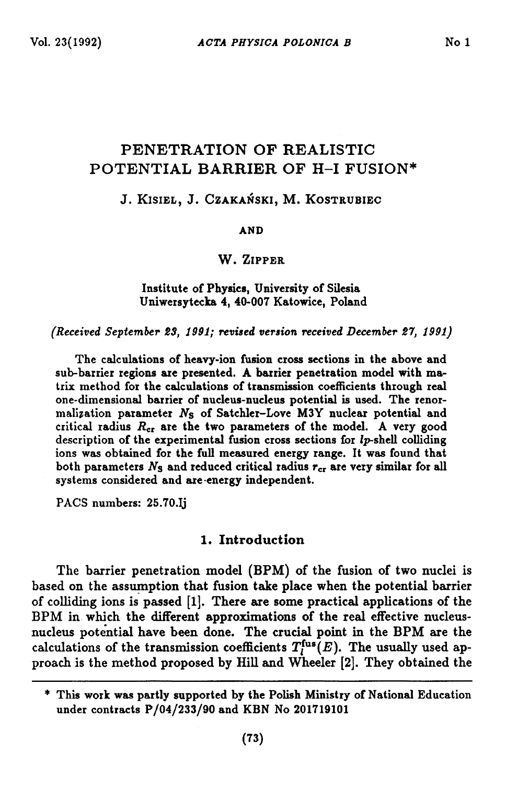# **PEN ETR A TIO N OF REALISTIC** POTENTIAL BARRIER OF H-I FUSION\*

## **J . K lS I E L , J . C Z A K A N S K I, M . K O S T R U B IE C**

#### **A N D**

## **W. Zip p e r**

#### **Institute of Physics, University of Silesia Uniwersytecka 4, 40-007 Katowice, Poland**

*(Received September ZS, 1991; revised version received December 27, 1991)*

**The calculations of heavy-ion fusion cross sections in the above and sub-barrier regions are presented. A barrier penetration model with matrix method for the calculations of transmission coefficients through real one-dimensional barrier of nucleus-nucleus potential is used. The renormalization parameter** *Ns* **of Satchler-Love M3Y nuclear potential and critical radius** *Rei* **are the two parameters of the model. A very good description of the experimental fusion cross sections for fp-shell colliding ions was obtained for the full measured energy range. It was found that** both parameters  $N<sub>S</sub>$  and reduced critical radius  $r<sub>cr</sub>$  are very similar for all **systems considered and are-energy independent.**

**PACS numbers: 25.70.Ij**

### **1. In tro d u c tio n**

The barrier penetration model (BPM) of the fusion of two nuclei is **based on the assumption that fusion take place when the potential barrier of colliding ions is passed [1]. There are some practical applications of the BPM in which the different approximations of the real effective nucleusnucleus potential have been done. The crucial point in the BPM are the** calculations of the transmission coefficients  $T_l^{\text{fus}}(E)$ . The usually used ap**proach is the m ethod proposed by Hill and Wheeler [2]. They obtained the**

**<sup>\*</sup> This work was partly supported by the Polish Ministry of National Education under contracts P/04/233/90 and KBN No 201719101**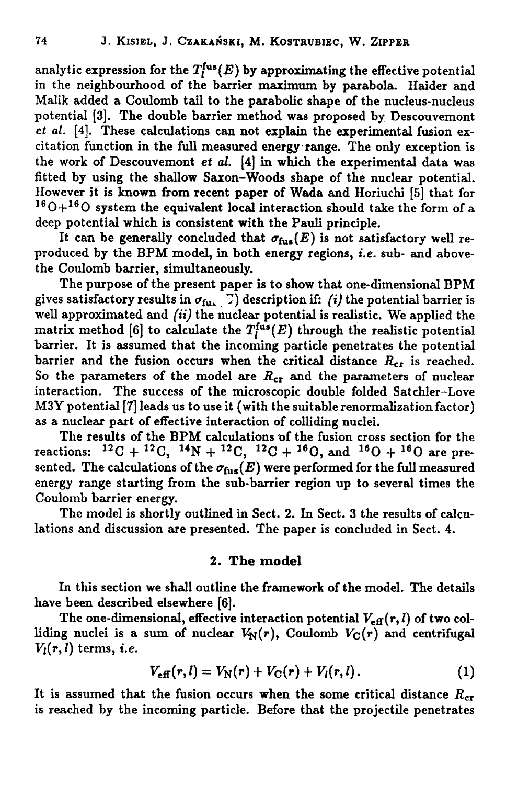analytic expression for the  $T_i^{\text{fus}}(E)$  by approximating the effective potential **in the neighbourhood of the barrier maximum by parabola. Haider and Malik added a Coulomb tail to the parabolic shape of the nucleus-nucleus** potential [3]. The double barrier method was proposed by Descouvemont *et al.* **[4]. These calculations can not explain the experimental fusion excitation function in the full measured energy range. The only exception is the work of Descouvemont** *et al.* **[4] in which the experimental data was** fitted by using the shallow Saxon-Woods shape of the nuclear potential. **However it is known from recent paper of Wada and Horiuchi [5] that for** 160 + 160 **system the equivalent local interaction should take the form of a deep potential which is consistent with the Pauli principle.**

It can be generally concluded that  $\sigma_{\text{fus}}(E)$  is not satisfactory well re**produced by the BPM model, in both energy regions,** *i.e.* **sub- and abovethe Coulomb barrier, simultaneously.**

**The purpose of the present paper is to show that one-dimensional BPM** gives satisfactory results in  $\sigma_{\text{fuc}}$   $\vec{v}$  description if: *(i)* the potential barrier is **well approximated and** *(it)* **the nuclear potential is realistic. We applied the** matrix method [6] to calculate the  $T_l^{\text{fus}}(E)$  through the realistic potential **barrier. It is assumed that the incoming particle penetrates the potential** barrier and the fusion occurs when the critical distance  $R_{cr}$  is reached. So the parameters of the model are  $R_{cr}$  and the parameters of nuclear **interaction. The success of the microscopic double folded Satchler-Love M3Y potential [7] leads us to use it (with the suitable renormalization factor) as a nuclear part of effective interaction of colliding nuclei.**

**The results of the BPM calculations of the fusion cross section for the reactions: 12C +** 12**C, 14N +** 12**C, 12C + ie 0 , and ie 0 + 160 are pre**sented. The calculations of the  $\sigma_{\text{fus}}(E)$  were performed for the full measured **energy range starting from the sub-barrier region up to several times the Coulomb barrier energy.**

**The model is shortly outlined in Sect. 2. In Sect. 3 the results of calculations and discussion are presented. The paper is concluded in Sect. 4.**

#### **2. The model**

**In this section we shall outline the framework of the model. The details have been described elsewhere [**6**].**

The one-dimensional, effective interaction potential  $V_{\text{eff}}(r, l)$  of two colliding nuclei is a sum of nuclear  $V_N(r)$ , Coulomb  $V_C(r)$  and centrifugal  $V_l(r, l)$  terms, *i.e.* 

$$
V_{\text{eff}}(r,l) = V_{\text{N}}(r) + V_{\text{C}}(r) + V_{l}(r,l). \qquad (1)
$$

It is assumed that the fusion occurs when the some critical distance  $R_{cr}$ **is reached by the incoming particle. Before that the projectile penetrates**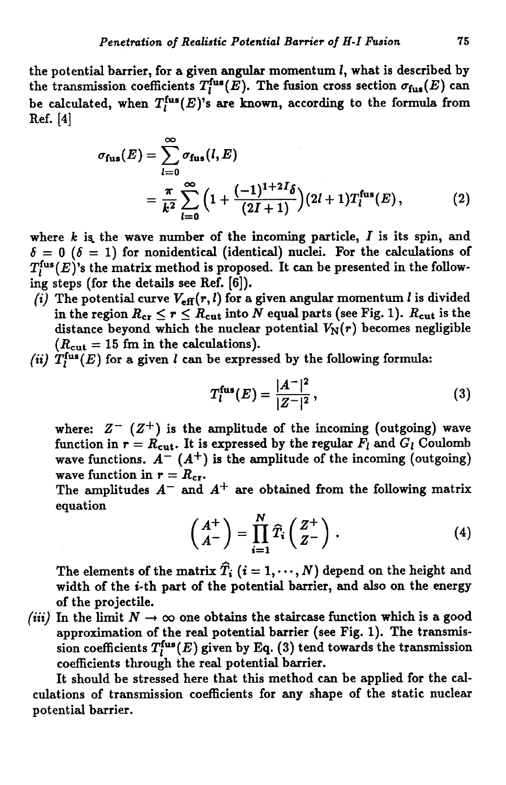**the potential barrier, for a given angular momentum** *I,* **what is described by** the transmission coefficients  $T_l^{\text{fus}}(E)$ . The fusion cross section  $\sigma_{\text{fus}}(E)$  can be calculated, when  $T_l^{\text{fus}}(E)$ 's are known, according to the formula from **Ref. [4]**

$$
\sigma_{\text{fus}}(E) = \sum_{l=0}^{\infty} \sigma_{\text{fus}}(l, E)
$$
  
= 
$$
\frac{\pi}{k^2} \sum_{l=0}^{\infty} \left(1 + \frac{(-1)^{1+2I} \delta}{(2I+1)}\right) (2I+1) T_l^{\text{fus}}(E),
$$
 (2)

**where** *k* **the wave number of the incoming particle,** *I* **is its spin, and**  $\delta = 0$  ( $\delta = 1$ ) for nonidentical (identical) nuclei. For the calculations of  $T_l^{\text{fus}}(E)$ 's the matrix method is proposed. It can be presented in the follow**ing steps (for the details see Ref. [**6**]).**

- *(i)* The potential curve  $V_{\text{eff}}(r, l)$  for a given angular momentum *l* is divided in the region  $R_{cr} \le r \le R_{cut}$  into  $N$  equal parts (see Fig. 1).  $R_{cut}$  is the distance beyond which the nuclear potential  $V_N(r)$  becomes negligible  $(R_{\text{cut}} = 15 \text{ fm in the calculations}).$
- *(ii)*  $T_i^{\text{fus}}(E)$  for a given *l* can be expressed by the following formula:

$$
T_l^{\text{fus}}(E) = \frac{|A^-|^2}{|Z^-|^2},\tag{3}
$$

where:  $Z^{-}$   $(Z^{+})$  is the amplitude of the incoming (outgoing) wave function in  $r = R_{\text{cut}}$ . It is expressed by the regular  $F_l$  and  $G_l$  Coulomb wave functions.  $A^{-}(A^{+})$  is the amplitude of the incoming (outgoing) **wave function in**  $r = R_{cr}$ **.** 

The amplitudes  $A^-$  and  $A^+$  are obtained from the following matrix **equation**

$$
\begin{pmatrix} A^+ \\ A^- \end{pmatrix} = \prod_{i=1}^N \widehat{T}_i \begin{pmatrix} Z^+ \\ Z^- \end{pmatrix} , \qquad (4)
$$

The elements of the matrix  $\hat{T}_i$  ( $i = 1, \dots, N$ ) depend on the height and **width of the i-th part of the potential barrier, and also on the energy of the projectile.**

*(iii)* In the limit  $N \to \infty$  one obtains the staircase function which is a good approximation of the real potential barrier (see Fig. 1). The transmis- $\sin$  coefficients  $T_l^{\text{fus}}(E)$  given by Eq. (3) tend towards the transmission **coefficients through the real potential barrier.**

It should be stressed here that this method can be applied for the cal**culations of transmission coefficients for any shape of the static nuclear potential barrier.**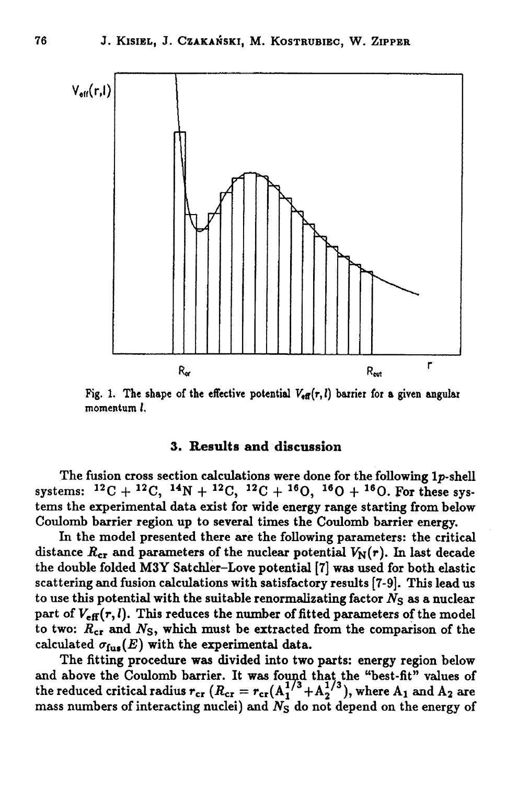

Fig. 1. The shape of the effective potential  $V_{\text{eff}}(r, l)$  barrier for a given angular **momentum** *t.*

### **3. Results and discussion**

**The fusion cross section calculations were done for the following lp-shell** systems:  ${}^{12}C + {}^{12}C$ ,  ${}^{14}N + {}^{12}C$ ,  ${}^{12}C + {}^{16}O$ ,  ${}^{16}O + {}^{16}O$ . For these sys**tems the experimental data exist for wide energy range starting from below Coulomb barrier region up to several times the Coulomb barrier energy.**

**In the m odel presented there are the following parameters: the critical** distance  $R_{cr}$  and parameters of the nuclear potential  $V_N(r)$ . In last decade **the double folded M 3Y Satchler-Love potential [7] was used for both elastic scattering and fusion calculations with satisfactory results [7-9]. This lead us** to use this potential with the suitable renormalizating factor  $N<sub>S</sub>$  as a nuclear part of  $V_{\text{eff}}(r, l)$ . This reduces the number of fitted parameters of the model **to two:** *R ct* **and** *Ns,* **which must be extracted from the comparison of the** calculated  $\sigma_{\text{fus}}(E)$  with the experimental data.

**The fitting procedure was divided into two parts: energy region below and above the Coulomb barrier. It was found that the "best-fit" values of** the reduced critical radius  $r_{cr}$  ( $R_{cr} = r_{cr} (A_1^{1/3} + A_2^{1/3})$ , where  $A_1$  and  $A_2$  are **mass numbers of interacting nuclei) and** *Ns* **do not depend on the energy of**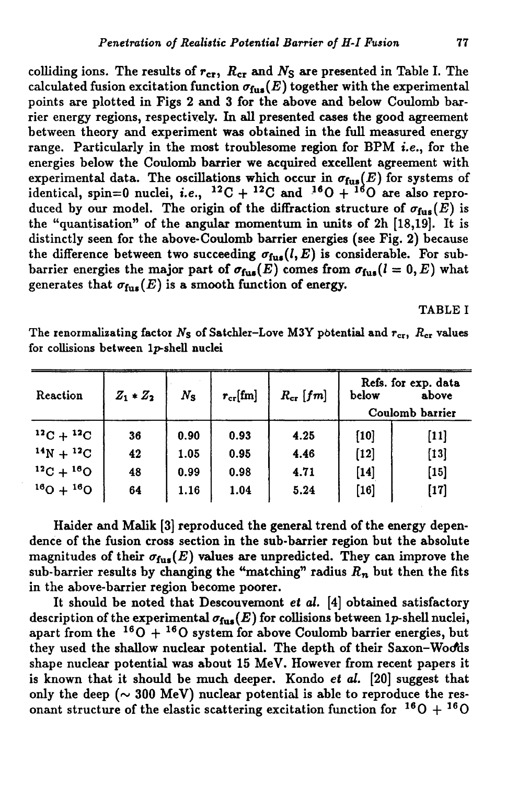colliding ions. The results of  $r_{cr}$ ,  $R_{cr}$  and  $N_S$  are presented in Table I. The calculated fusion excitation function  $\sigma_{\text{fus}}(E)$  together with the experimental **points are plotted in Figs 2 and 3 for the above and below Coulomb barrier energy regions, respectively. In all presented cases the good agreement between theory and experiment was obtained in the full measured energy range. Particularly in the most troublesome region for BPM i.e., for the energies below the Coulomb barrier we acquired excellent agreement with** experimental data. The oscillations which occur in  $\sigma_{\text{fus}}(E)$  for systems of identical, spin=0 nuclei, *i.e.*,  $^{12}C + ^{12}C$  and  $^{16}O + ^{16}O$  are also reproduced by our model. The origin of the diffraction structure of  $\sigma_{fus}(E)$  is **the "quantisation" of the angular momentum in units of 2h [18,19]. It is distinctly seen for the above-Coulomb barrier energies (see Fig. 2) because** the difference between two succeeding  $\sigma_{\text{fus}}(l,E)$  is considerable. For subbarrier energies the major part of  $\sigma_{fus}(E)$  comes from  $\sigma_{fus}(l = 0, E)$  what generates that  $\sigma_{\text{fus}}(E)$  is a smooth function of energy.

**TABLE I**

The renormalizating factor  $N_S$  of Satchler-Love M3Y potential and  $r_{cr}$ ,  $R_{cr}$  values **for collisions between lp-shell nuclei**

| Reaction          | $Z_1 * Z_2$ | $N_{\rm S}$ | $r_{\rm cr}[\rm{fm}]$ | $R_{\rm cr}$ [fm] | Refs. for exp. data<br>below<br>above<br>Coulomb barrier |        |
|-------------------|-------------|-------------|-----------------------|-------------------|----------------------------------------------------------|--------|
| $^{12}C+^{12}C$   | 36          | 0.90        | 0.93                  | 4.25              | [10]                                                     | $[11]$ |
| $14N + 12C$       | 42          | 1.05        | 0.95                  | 4.46              | $[12]$                                                   | $[13]$ |
| $^{12}C + ^{16}O$ | 48          | 0.99        | 0.98                  | 4.71              | $[14]$                                                   | $[15]$ |
| $^{16}O + ^{16}O$ | 64          | 1.16        | 1.04                  | 5.24              | $[16]$                                                   | $[17]$ |

**Haider and Malik [3] reproduced the general trend of the energy dependence of the fusion cross section in the sub-barrier region but the absolute** magnitudes of their  $\sigma_{fus}(E)$  values are unpredicted. They can improve the sub-barrier results by changing the "matching" radius  $R_n$  but then the fits **in the above-barrier region become poorer.**

**It should be noted that Descouvemont** *et al.* **[4] obtained satisfactory** description of the experimental  $\sigma_{\text{fus}}(E)$  for collisions between 1p-shell nuclei, apart from the  $160 + 160$  system for above Coulomb barrier energies, but **they used the shallow nuclear potential. The depth of their Saxon-Wodtis shape nuclear potential was about 15 MeV. However from recent papers it is known that it should be much deeper. Kondo** *et al.* **[**20**] suggest that** only the deep  $({\sim} 300 \text{ MeV})$  nuclear potential is able to reproduce the resonant structure of the elastic scattering excitation function for  $160 + 160$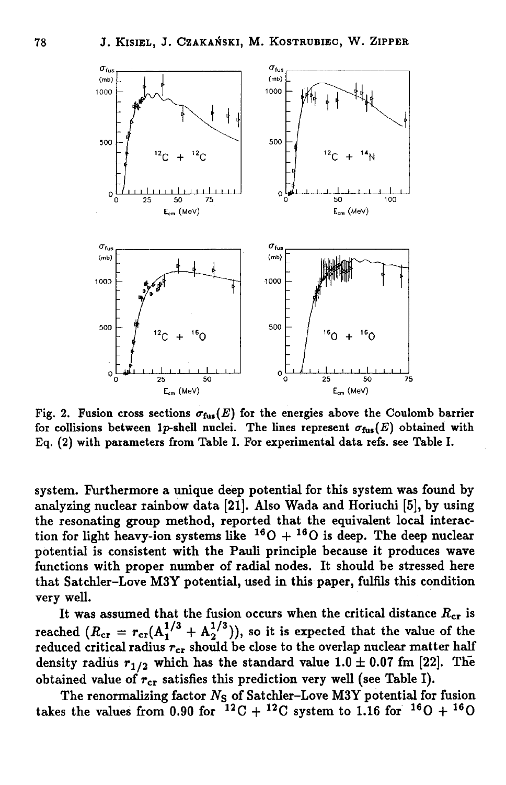

Fig. 2. Fusion cross sections  $\sigma_{\text{fus}}(E)$  for the energies above the Coulomb barrier for collisions between 1p-shell nuclei. The lines represent  $\sigma_{fws}(E)$  obtained with **Eq. (2) with parameters from Table I. For experimental data refs, see Table I.**

**system. Furthermore a unique deep potential for this system was found by analyzing nuclear rainbow data [21]. Also Wada and Horiuchi [5], by using** the resonating group method, reported that the equivalent local interaction for light heavy-ion systems like  $160 + 160$  is deep. The deep nuclear **potential is consistent with the Pauli principle because it produces wave functions with proper number of radial nodes. It should be stressed here that Satchler-Love M3Y potential, used in this paper, fulfils this condition very well.**

It was assumed that the fusion occurs when the critical distance  $R_{cr}$  is reached  $(R_{cr} = r_{cr}(A_1^{1/3} + A_2^{1/3}))$ , so it is expected that the value of the reduced critical radius  $r_{cr}$  should be close to the overlap nuclear matter half density radius  $r_{1/2}$  which has the standard value  $1.0 \pm 0.07$  fm [22]. The obtained value of  $r_{cr}$  satisfies this prediction very well (see Table I).

**The renormalizing factor** *Ns* **of Satchler-Love M3Y potential for fusion** takes the values from 0.90 for  $12^2C + 12^2C$  system to 1.16 for  $10^6D + 10^6C$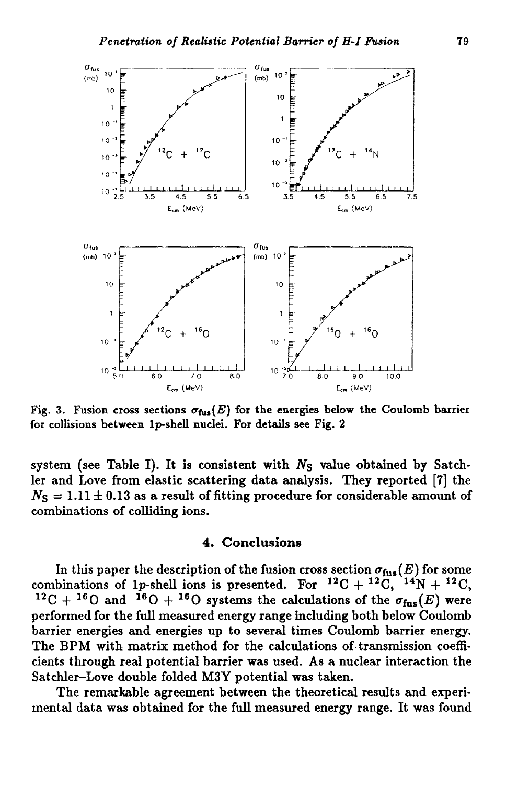

Fig. 3. Fusion cross sections  $\sigma_{\text{fus}}(E)$  for the energies below the Coulomb barrier **for collisions between lp-shell nuclei. For details see Fig. 2**

**system (see Table I). It is consistent with** *Ns* **value obtained by Satchler and Love from elastic scattering data analysis. They reported [7] the**  $N_{\rm S} = 1.11 \pm 0.13$  as a result of fitting procedure for considerable amount of **combinations of colliding ions.**

#### **4 . C o n clu sio n s**

In this paper the description of the fusion cross section  $\sigma_{\text{fus}}(E)$  for some combinations of 1p-shell ions is presented. For  $^{12}C + ^{12}C$ ,  $^{14}N + ^{12}C$ , <sup>12</sup>C + <sup>16</sup>O and <sup>16</sup>O + <sup>16</sup>O systems the calculations of the  $\sigma_{\text{fus}}(E)$  were **performed for the full measured energy range including both below Coulomb barrier energies and energies up to several times Coulomb barrier energy. The BPM with matrix method for the calculations of transmission coefficients through real potential harrier was used. As a nuclear interaction the Satchler-Love double folded M3Y potential was taken.**

**The remarkable agreement between the theoretical results and experimental data was obtained for the full measured energy range. It was found**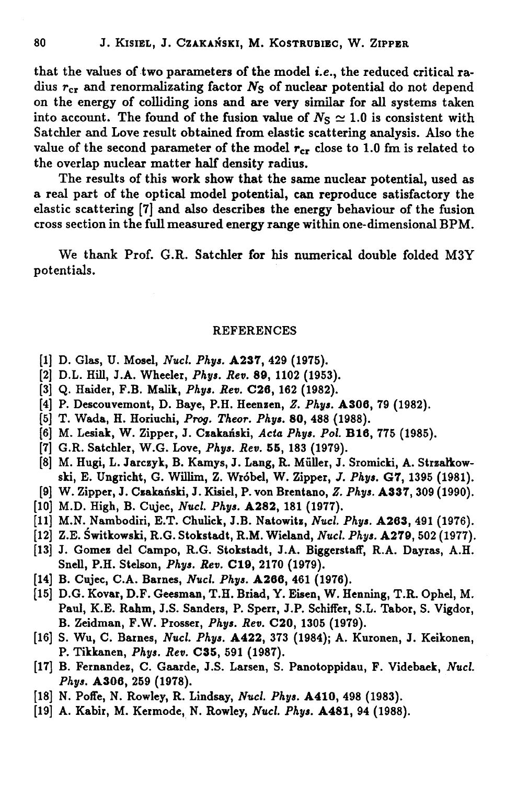**that the values of two parameters of the model** *i.e.,* **the reduced critical ra**dius  $r_{cr}$  and renormalizating factor  $N_S$  of nuclear potential do not depend **on the energy of colliding ions and are very similar for all systems taken** into account. The found of the fusion value of  $N<sub>S</sub> \approx 1.0$  is consistent with **Satchler and Love result obtained from elastic scattering analysis. Also the** value of the second parameter of the model  $r_{cr}$  close to 1.0 fm is related to **the overlap nuclear matter half density radius.**

**The results of this work show that the same nuclear potential, used as** a real part of the optical model potential, can reproduce satisfactory the **elastic scattering [7] and also describes the energy behaviour of the fusion cross section in the full measured energy range within one-dimensional BPM.**

**We thank Prof. G.R. Satchler for his numerical double folded M3Y potentials.**

#### **REFERENCES**

- **[1] D. Glas, U. Mosel,** *Nucl. Phys.* **A237, 429 (1975).**
- **[2] D.L. Hill, J.A. Wheeler,** *Phys. Rev.* **89, 1102 (1953).**
- **[3] Q. Haider, F.B. Malik,** *Phys. Rev.* **C26, 162 (1982).**
- **[4] P. Descouvemont, D. Baye, P.H. Heenzen,** *Z. Phys.* **A306, 79 (1982).**
- **[5] T. Wada, H. Horiuchi,** *Prog, Theor. Phys.* **80, 488 (1988).**
- **[6] M. Lesiak, W. Zipper, J. Czakański,** *Acta Phys. Pol.* **BIO, 775 (1985).**
- **[7] G.R. Satchler, W.G. Love,** *Phys. Rev.* **55, 183 (1979).**
- **[8] M. Hugi, L. Jarczyk, B. Kamys, J. Lang, R. Müller, J. Sromicki, A. Strzalkowski, E. Ungricht, G. Willim, Z. Wróbel, W. Zipper,** *J. Phys.* **G7, 1395 (1981).**
- **[9] W. Zipper, J. Czakański, J. Kisiel, P. von Brentano,** *Z. Phys.* **A337, 309 (1990).**
- **[10] M.D. High, B. Ciyec,** *Nucl. Phys.* **A282, 181 (1977).**
- **[11] M.N. Nambodiri, E.T. Chulick, J.B. Natowitz,** *Nucl. Phys.* **A203, 491 (1976).**
- **[12] Z.E. Świtkowski, R.G. Stokstadt, R.M. Wieland,** *Nucl. Phys.* **A279, 502 (1977).**
- **[13] J. Gomez del Campo, R.G. Stokstadt, J.A. Biggerstaif, R.A. Dayras, A.H. Snell, P.H. Stelson,** *Phys. Rev.* **C19, 2170 (1979).**
- **[14] B. Cqjec, C.A. Barnes,** *Nucl. Phys.* **A260, 461 (1976).**
- **[15] D.G. Kovar, D.F. Geesman, Т.Н. Briad, Y. Eisen, W. Henning, T.R. Ophel, M. Paul, K.E. Rahm, J.S. Sanders, P. Sperr, J.P. Schiffer, S.L. Tabor, S. Vigdor, B. Zeidman, F.W. Prosser,** *Phys. Rev.* **C20, 1305 (1979).**
- **[16] S. Wu, C. Barnes,** *Nucl. Phys.* **A422, 373 (1984); A. Kuronen, J. Keikonen, P. Tikkanen,** *Phys. Rev.* **C35, 591 (1987).**
- **[17] B. Fernandez, C. Gaarde, J.S. Larsen, S. Panotoppidau, F. Videbaek,** *Nucl. Phys.* **A306, 259 (1978).**
- **[18] N. Poffe, N. Rowley, R. Lindsay,** *Nucl. Phys.* **A410, 498 (1983).**
- **[19] A. Kabir, M. Kermode, N. Rowley,** *Nucl. Phys.* **A481, 94 (1988).**